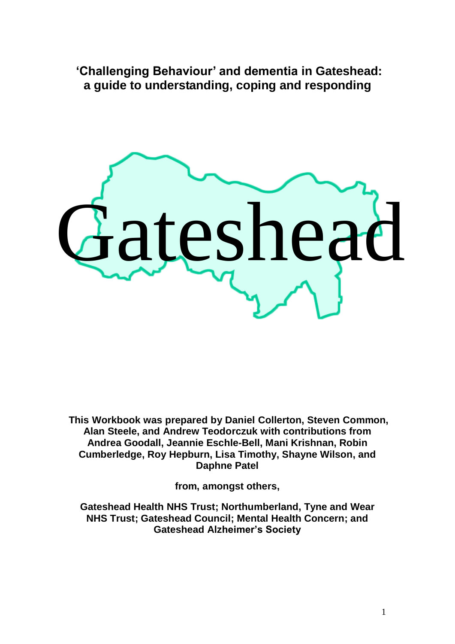**'Challenging Behaviour' and dementia in Gateshead: a guide to understanding, coping and responding**



**This Workbook was prepared by Daniel Collerton, Steven Common, Alan Steele, and Andrew Teodorczuk with contributions from Andrea Goodall, Jeannie Eschle-Bell, Mani Krishnan, Robin Cumberledge, Roy Hepburn, Lisa Timothy, Shayne Wilson, and Daphne Patel**

**from, amongst others,**

**Gateshead Health NHS Trust; Northumberland, Tyne and Wear NHS Trust; Gateshead Council; Mental Health Concern; and Gateshead Alzheimer's Society**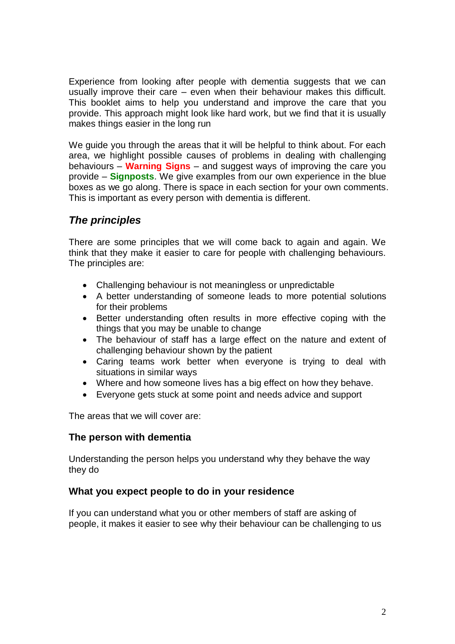Experience from looking after people with dementia suggests that we can usually improve their care – even when their behaviour makes this difficult. This booklet aims to help you understand and improve the care that you provide. This approach might look like hard work, but we find that it is usually makes things easier in the long run

We guide you through the areas that it will be helpful to think about. For each area, we highlight possible causes of problems in dealing with challenging behaviours – **Warning Signs** – and suggest ways of improving the care you provide – **Signposts**. We give examples from our own experience in the blue boxes as we go along. There is space in each section for your own comments. This is important as every person with dementia is different.

### *The principles*

There are some principles that we will come back to again and again. We think that they make it easier to care for people with challenging behaviours. The principles are:

- Challenging behaviour is not meaningless or unpredictable
- A better understanding of someone leads to more potential solutions for their problems
- Better understanding often results in more effective coping with the things that you may be unable to change
- The behaviour of staff has a large effect on the nature and extent of challenging behaviour shown by the patient
- Caring teams work better when everyone is trying to deal with situations in similar ways
- Where and how someone lives has a big effect on how they behave.
- Everyone gets stuck at some point and needs advice and support

The areas that we will cover are:

#### **The person with dementia**

Understanding the person helps you understand why they behave the way they do

#### **What you expect people to do in your residence**

If you can understand what you or other members of staff are asking of people, it makes it easier to see why their behaviour can be challenging to us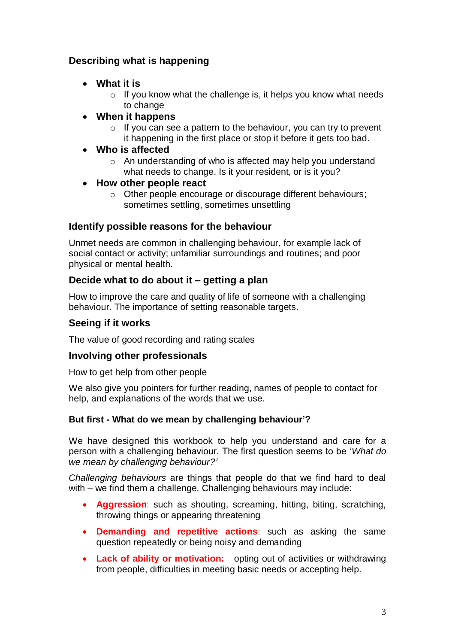### **Describing what is happening**

- **What it is**
	- $\circ$  If you know what the challenge is, it helps you know what needs to change
- **When it happens**
	- $\circ$  If you can see a pattern to the behaviour, you can try to prevent it happening in the first place or stop it before it gets too bad.

### **Who is affected**

- o An understanding of who is affected may help you understand what needs to change. Is it your resident, or is it you?
- **How other people react** 
	- o Other people encourage or discourage different behaviours; sometimes settling, sometimes unsettling

### **Identify possible reasons for the behaviour**

Unmet needs are common in challenging behaviour, for example lack of social contact or activity; unfamiliar surroundings and routines; and poor physical or mental health.

### **Decide what to do about it – getting a plan**

How to improve the care and quality of life of someone with a challenging behaviour. The importance of setting reasonable targets.

### **Seeing if it works**

The value of good recording and rating scales

#### **Involving other professionals**

How to get help from other people

We also give you pointers for further reading, names of people to contact for help, and explanations of the words that we use.

#### **But first - What do we mean by challenging behaviour'?**

We have designed this workbook to help you understand and care for a person with a challenging behaviour. The first question seems to be '*What do we mean by challenging behaviour?'*

*Challenging behaviours* are things that people do that we find hard to deal with – we find them a challenge. Challenging behaviours may include:

- **Aggression**: such as shouting, screaming, hitting, biting, scratching, throwing things or appearing threatening
- **Demanding and repetitive actions**: such as asking the same question repeatedly or being noisy and demanding
- **Lack of ability or motivation:** opting out of activities or withdrawing from people, difficulties in meeting basic needs or accepting help.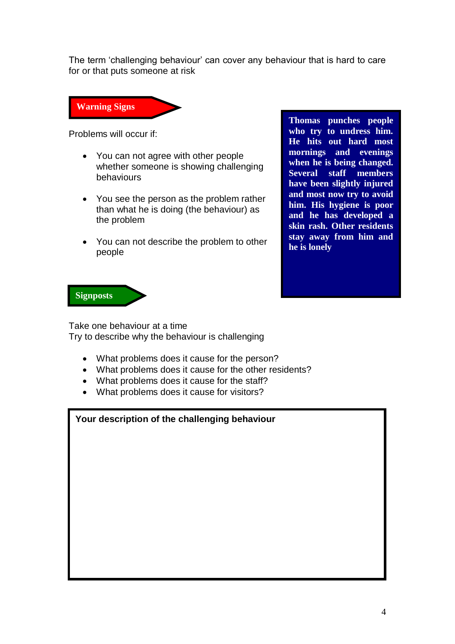The term 'challenging behaviour' can cover any behaviour that is hard to care for or that puts someone at risk



Problems will occur if:

- You can not agree with other people whether someone is showing challenging behaviours
- You see the person as the problem rather than what he is doing (the behaviour) as the problem
- You can not describe the problem to other people

**Thomas punches people who try to undress him. He hits out hard most mornings and evenings when he is being changed. Several staff members have been slightly injured and most now try to avoid him. His hygiene is poor and he has developed a skin rash. Other residents stay away from him and he is lonely**



Take one behaviour at a time Try to describe why the behaviour is challenging

- What problems does it cause for the person?
- What problems does it cause for the other residents?
- What problems does it cause for the staff?
- What problems does it cause for visitors?

| Your description of the challenging behaviour |  |
|-----------------------------------------------|--|
|                                               |  |
|                                               |  |
|                                               |  |
|                                               |  |
|                                               |  |
|                                               |  |
|                                               |  |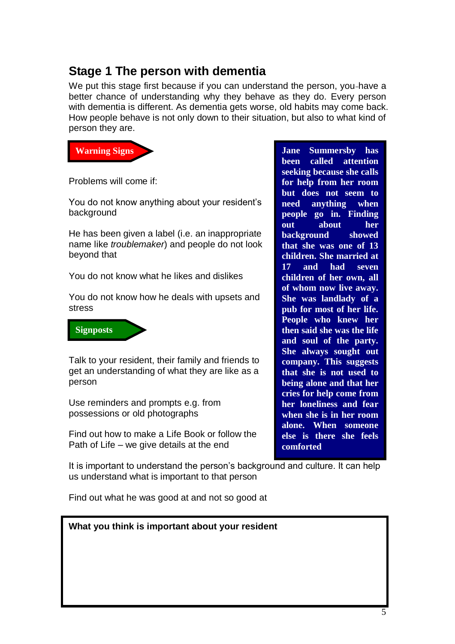## **Stage 1 The person with dementia**

We put this stage first because if you can understand the person, you-have a better chance of understanding why they behave as they do. Every person with dementia is different. As dementia gets worse, old habits may come back. How people behave is not only down to their situation, but also to what kind of person they are.



Problems will come if:

You do not know anything about your resident's background

He has been given a label (i.e. an inappropriate name like *troublemaker*) and people do not look beyond that

You do not know what he likes and dislikes

You do not know how he deals with upsets and stress

**Signposts**

Talk to your resident, their family and friends to get an understanding of what they are like as a person

Use reminders and prompts e.g. from possessions or old photographs

Find out how to make a Life Book or follow the Path of Life – we give details at the end

It is important to understand the person's background and culture. It can help us understand what is important to that person

Find out what he was good at and not so good at

| What you think is important about your resident |  |
|-------------------------------------------------|--|
|                                                 |  |
|                                                 |  |
|                                                 |  |
|                                                 |  |

**been called attention seeking because she calls for help from her room but does not seem to need anything when people go in. Finding out about her background showed that she was one of 13 children. She married at 17 and had seven children of her own, all of whom now live away. She was landlady of a pub for most of her life. People who knew her then said she was the life and soul of the party. She always sought out company. This suggests that she is not used to being alone and that her cries for help come from her loneliness and fear when she is in her room alone. When someone else is there she feels comforted**

**Jane Summersby has**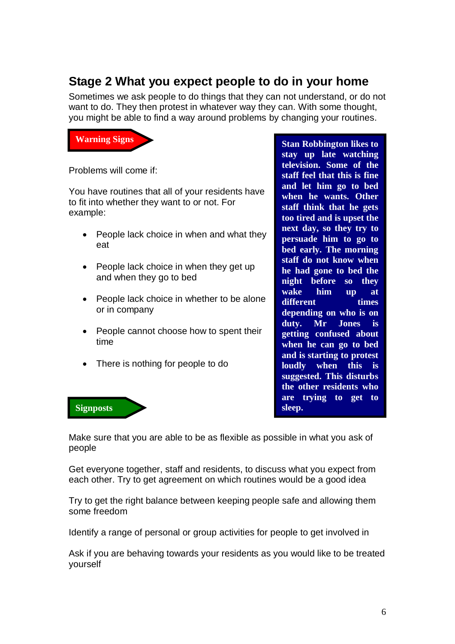## **Stage 2 What you expect people to do in your home**

Sometimes we ask people to do things that they can not understand, or do not want to do. They then protest in whatever way they can. With some thought, you might be able to find a way around problems by changing your routines.



Problems will come if:

You have routines that all of your residents have to fit into whether they want to or not. For example:

- People lack choice in when and what they eat
- People lack choice in when they get up and when they go to bed
- People lack choice in whether to be alone or in company
- People cannot choose how to spent their time
- There is nothing for people to do

**television. Some of the staff feel that this is fine and let him go to bed when he wants. Other staff think that he gets too tired and is upset the next day, so they try to persuade him to go to bed early. The morning staff do not know when he had gone to bed the night before so they wake him up at different** times **depending on who is on duty. Mr Jones is getting confused about when he can go to bed and is starting to protest loudly when this is suggested. This disturbs the other residents who are trying to get to sleep.**

**Stan Robbington likes to stay up late watching** 



Make sure that you are able to be as flexible as possible in what you ask of people

Get everyone together, staff and residents, to discuss what you expect from each other. Try to get agreement on which routines would be a good idea

Try to get the right balance between keeping people safe and allowing them some freedom

Identify a range of personal or group activities for people to get involved in

Ask if you are behaving towards your residents as you would like to be treated yourself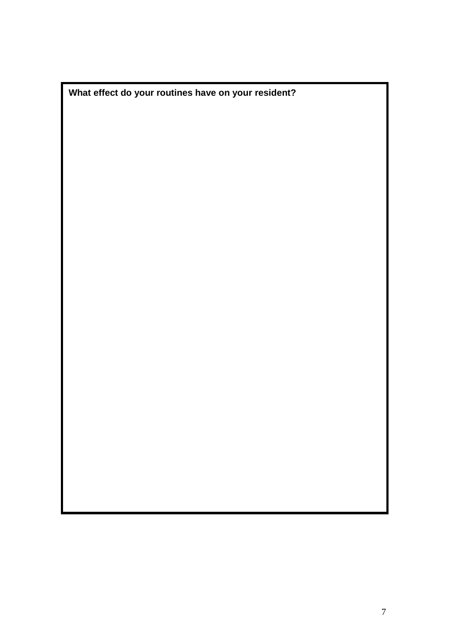**What effect do your routines have on your resident?**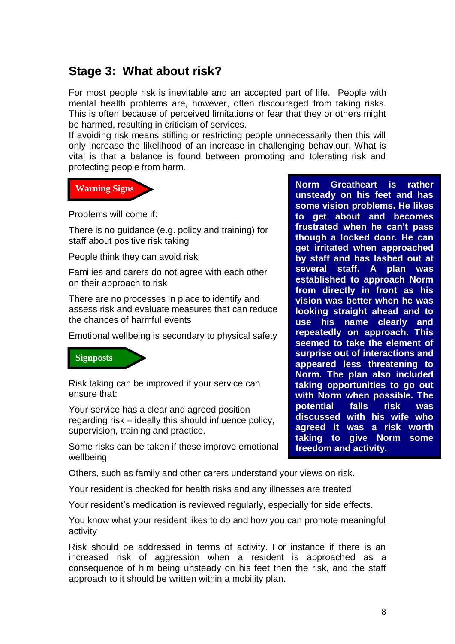# **Stage 3: What about risk?**

For most people risk is inevitable and an accepted part of life. People with mental health problems are, however, often discouraged from taking risks. This is often because of perceived limitations or fear that they or others might be harmed, resulting in criticism of services.

If avoiding risk means stifling or restricting people unnecessarily then this will only increase the likelihood of an increase in challenging behaviour. What is vital is that a balance is found between promoting and tolerating risk and protecting people from harm.



Problems will come if:

There is no guidance (e.g. policy and training) for staff about positive risk taking

People think they can avoid risk

Families and carers do not agree with each other on their approach to risk

There are no processes in place to identify and assess risk and evaluate measures that can reduce the chances of harmful events

Emotional wellbeing is secondary to physical safety



Risk taking can be improved if your service can ensure that:

Your service has a clear and agreed position regarding risk – ideally this should influence policy, supervision, training and practice.

Some risks can be taken if these improve emotional wellbeing

Others, such as family and other carers understand your views on risk.

Your resident is checked for health risks and any illnesses are treated

Your resident's medication is reviewed regularly, especially for side effects.

You know what your resident likes to do and how you can promote meaningful activity

Risk should be addressed in terms of activity. For instance if there is an increased risk of aggression when a resident is approached as a consequence of him being unsteady on his feet then the risk, and the staff approach to it should be written within a mobility plan.

**Norm Greatheart is rather unsteady on his feet and has some vision problems. He likes to get about and becomes frustrated when he can't pass though a locked door. He can get irritated when approached by staff and has lashed out at several staff. A plan was established to approach Norm from directly in front as his vision was better when he was looking straight ahead and to use his name clearly and repeatedly on approach. This seemed to take the element of surprise out of interactions and appeared less threatening to Norm. The plan also included taking opportunities to go out with Norm when possible. The potential falls risk was discussed with his wife who agreed it was a risk worth taking to give Norm some freedom and activity.**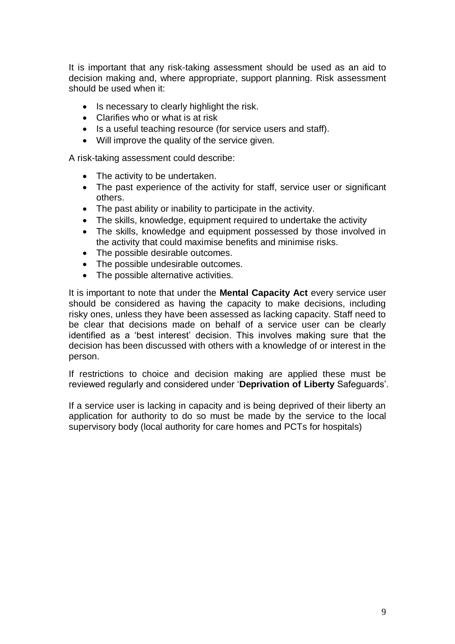It is important that any risk-taking assessment should be used as an aid to decision making and, where appropriate, support planning. Risk assessment should be used when it:

- Is necessary to clearly highlight the risk.
- Clarifies who or what is at risk
- Is a useful teaching resource (for service users and staff).
- Will improve the quality of the service given.

A risk-taking assessment could describe:

- The activity to be undertaken.
- The past experience of the activity for staff, service user or significant others.
- The past ability or inability to participate in the activity.
- The skills, knowledge, equipment required to undertake the activity
- The skills, knowledge and equipment possessed by those involved in the activity that could maximise benefits and minimise risks.
- The possible desirable outcomes.
- The possible undesirable outcomes.
- The possible alternative activities.

It is important to note that under the **Mental Capacity Act** every service user should be considered as having the capacity to make decisions, including risky ones, unless they have been assessed as lacking capacity. Staff need to be clear that decisions made on behalf of a service user can be clearly identified as a 'best interest' decision. This involves making sure that the decision has been discussed with others with a knowledge of or interest in the person.

If restrictions to choice and decision making are applied these must be reviewed regularly and considered under '**Deprivation of Liberty** Safeguards'.

If a service user is lacking in capacity and is being deprived of their liberty an application for authority to do so must be made by the service to the local supervisory body (local authority for care homes and PCTs for hospitals)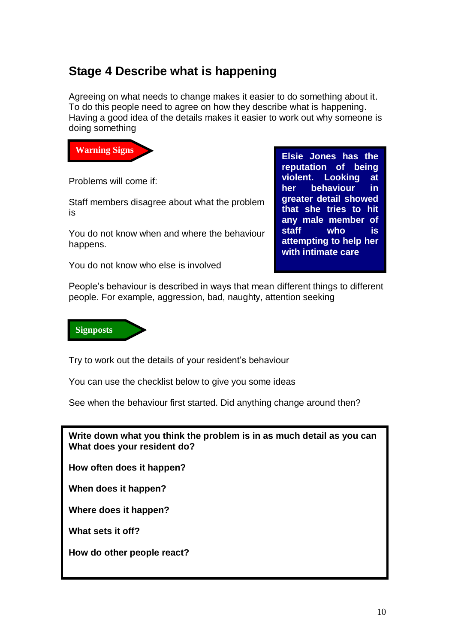# **Stage 4 Describe what is happening**

Agreeing on what needs to change makes it easier to do something about it. To do this people need to agree on how they describe what is happening. Having a good idea of the details makes it easier to work out why someone is doing something



Problems will come if:

Staff members disagree about what the problem is

You do not know when and where the behaviour happens.

You do not know who else is involved

**Elsie Jones has the reputation of being violent. Looking at her behaviour in greater detail showed that she tries to hit any male member of staff who is attempting to help her with intimate care**

People's behaviour is described in ways that mean different things to different people. For example, aggression, bad, naughty, attention seeking



Try to work out the details of your resident's behaviour

You can use the checklist below to give you some ideas

See when the behaviour first started. Did anything change around then?

**Write down what you think the problem is in as much detail as you can What does your resident do?**

**How often does it happen?**

**When does it happen?**

**Where does it happen?**

**What sets it off?**

**How do other people react?**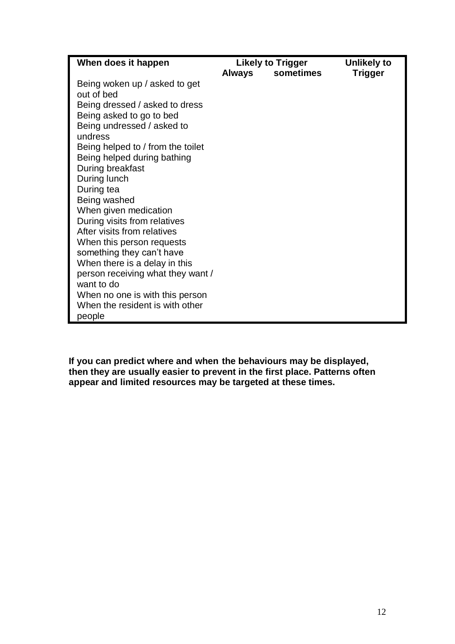| When does it happen               | <b>Likely to Trigger</b> |           | <b>Unlikely to</b> |
|-----------------------------------|--------------------------|-----------|--------------------|
|                                   | <b>Always</b>            | sometimes | <b>Trigger</b>     |
| Being woken up / asked to get     |                          |           |                    |
| out of bed                        |                          |           |                    |
| Being dressed / asked to dress    |                          |           |                    |
| Being asked to go to bed          |                          |           |                    |
| Being undressed / asked to        |                          |           |                    |
| undress                           |                          |           |                    |
| Being helped to / from the toilet |                          |           |                    |
| Being helped during bathing       |                          |           |                    |
| During breakfast                  |                          |           |                    |
| During lunch                      |                          |           |                    |
| During tea                        |                          |           |                    |
| Being washed                      |                          |           |                    |
| When given medication             |                          |           |                    |
| During visits from relatives      |                          |           |                    |
| After visits from relatives       |                          |           |                    |
| When this person requests         |                          |           |                    |
| something they can't have         |                          |           |                    |
| When there is a delay in this     |                          |           |                    |
| person receiving what they want / |                          |           |                    |
| want to do                        |                          |           |                    |
| When no one is with this person   |                          |           |                    |
| When the resident is with other   |                          |           |                    |
| people                            |                          |           |                    |

**If you can predict where and when the behaviours may be displayed, then they are usually easier to prevent in the first place. Patterns often appear and limited resources may be targeted at these times.**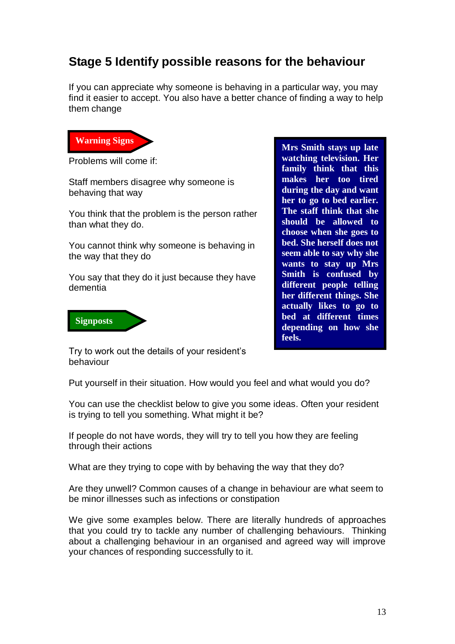## **Stage 5 Identify possible reasons for the behaviour**

If you can appreciate why someone is behaving in a particular way, you may find it easier to accept. You also have a better chance of finding a way to help them change



Problems will come if:

Staff members disagree why someone is behaving that way

You think that the problem is the person rather than what they do.

You cannot think why someone is behaving in the way that they do

You say that they do it just because they have dementia



**Mrs Smith stays up late watching television. Her family think that this makes her too tired during the day and want her to go to bed earlier. The staff think that she should be allowed to choose when she goes to bed. She herself does not seem able to say why she wants to stay up Mrs Smith is confused by different people telling her different things. She actually likes to go to bed at different times depending on how she feels.**

Try to work out the details of your resident's behaviour

Put yourself in their situation. How would you feel and what would you do?

You can use the checklist below to give you some ideas. Often your resident is trying to tell you something. What might it be?

If people do not have words, they will try to tell you how they are feeling through their actions

What are they trying to cope with by behaving the way that they do?

Are they unwell? Common causes of a change in behaviour are what seem to be minor illnesses such as infections or constipation

We give some examples below. There are literally hundreds of approaches that you could try to tackle any number of challenging behaviours. Thinking about a challenging behaviour in an organised and agreed way will improve your chances of responding successfully to it.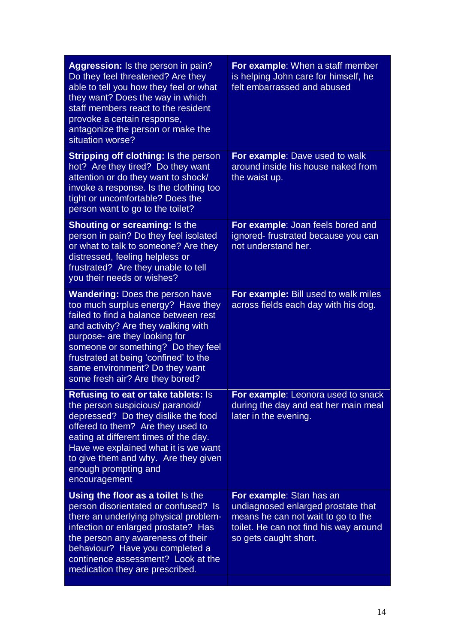| Aggression: Is the person in pain?<br>Do they feel threatened? Are they<br>able to tell you how they feel or what<br>they want? Does the way in which<br>staff members react to the resident<br>provoke a certain response,<br>antagonize the person or make the<br>situation worse?                                                              | For example: When a staff member<br>is helping John care for himself, he<br>felt embarrassed and abused                                                                 |
|---------------------------------------------------------------------------------------------------------------------------------------------------------------------------------------------------------------------------------------------------------------------------------------------------------------------------------------------------|-------------------------------------------------------------------------------------------------------------------------------------------------------------------------|
| Stripping off clothing: Is the person<br>hot? Are they tired? Do they want<br>attention or do they want to shock/<br>invoke a response. Is the clothing too<br>tight or uncomfortable? Does the<br>person want to go to the toilet?                                                                                                               | For example: Dave used to walk<br>around inside his house naked from<br>the waist up.                                                                                   |
| <b>Shouting or screaming: Is the</b><br>person in pain? Do they feel isolated<br>or what to talk to someone? Are they<br>distressed, feeling helpless or<br>frustrated? Are they unable to tell<br>you their needs or wishes?                                                                                                                     | For example: Joan feels bored and<br>ignored-frustrated because you can<br>not understand her.                                                                          |
| <b>Wandering: Does the person have</b><br>too much surplus energy? Have they<br>failed to find a balance between rest<br>and activity? Are they walking with<br>purpose- are they looking for<br>someone or something? Do they feel<br>frustrated at being 'confined' to the<br>same environment? Do they want<br>some fresh air? Are they bored? | For example: Bill used to walk miles<br>across fields each day with his dog.                                                                                            |
| <b>Refusing to eat or take tablets: Is</b><br>the person suspicious/ paranoid/<br>depressed? Do they dislike the food<br>offered to them? Are they used to<br>eating at different times of the day.<br>Have we explained what it is we want<br>to give them and why. Are they given<br>enough prompting and<br>encouragement                      | For example: Leonora used to snack<br>during the day and eat her main meal<br>later in the evening.                                                                     |
| Using the floor as a toilet Is the<br>person disorientated or confused? Is<br>there an underlying physical problem-<br>infection or enlarged prostate? Has<br>the person any awareness of their<br>behaviour? Have you completed a<br>continence assessment? Look at the<br>medication they are prescribed.                                       | For example: Stan has an<br>undiagnosed enlarged prostate that<br>means he can not wait to go to the<br>toilet. He can not find his way around<br>so gets caught short. |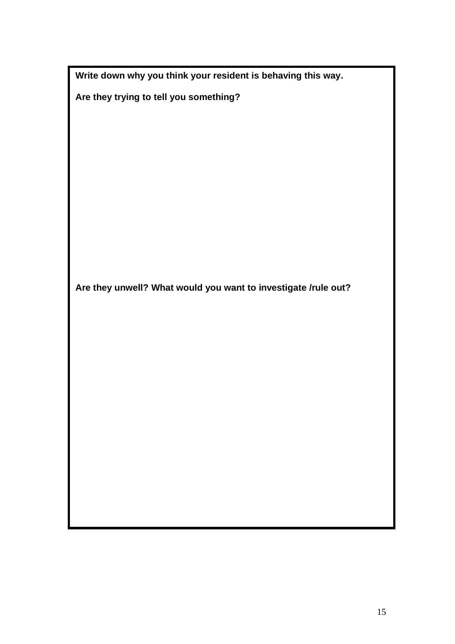| Write down why you think your resident is behaving this way. |  |  |
|--------------------------------------------------------------|--|--|
|--------------------------------------------------------------|--|--|

**Are they trying to tell you something?**

**Are they unwell? What would you want to investigate /rule out?**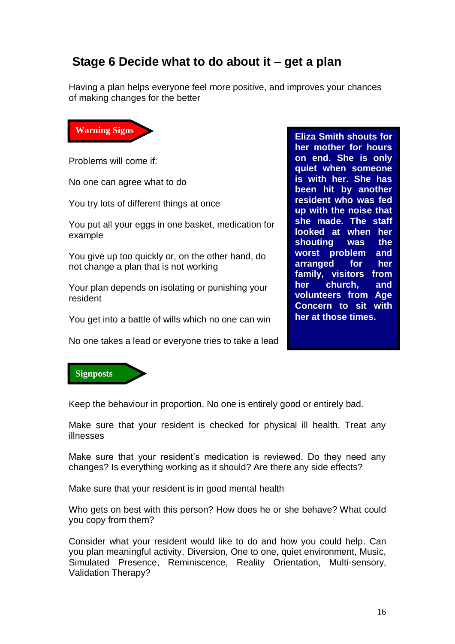## **Stage 6 Decide what to do about it – get a plan**

Having a plan helps everyone feel more positive, and improves your chances of making changes for the better



Problems will come if:

No one can agree what to do

You try lots of different things at once

You put all your eggs in one basket, medication for example

You give up too quickly or, on the other hand, do not change a plan that is not working

Your plan depends on isolating or punishing your resident

You get into a battle of wills which no one can win

No one takes a lead or everyone tries to take a lead

**Eliza Smith shouts for her mother for hours on end. She is only quiet when someone is with her. She has been hit by another resident who was fed up with the noise that she made. The staff looked at when her shouting was the worst problem and arranged for her family, visitors from her church, and volunteers from Age Concern to sit with her at those times.** 



Keep the behaviour in proportion. No one is entirely good or entirely bad.

Make sure that your resident is checked for physical ill health. Treat any illnesses

Make sure that your resident's medication is reviewed. Do they need any changes? Is everything working as it should? Are there any side effects?

Make sure that your resident is in good mental health

Who gets on best with this person? How does he or she behave? What could you copy from them?

Consider what your resident would like to do and how you could help. Can you plan meaningful activity, Diversion, One to one, quiet environment, Music, Simulated Presence, Reminiscence, Reality Orientation, Multi-sensory, Validation Therapy?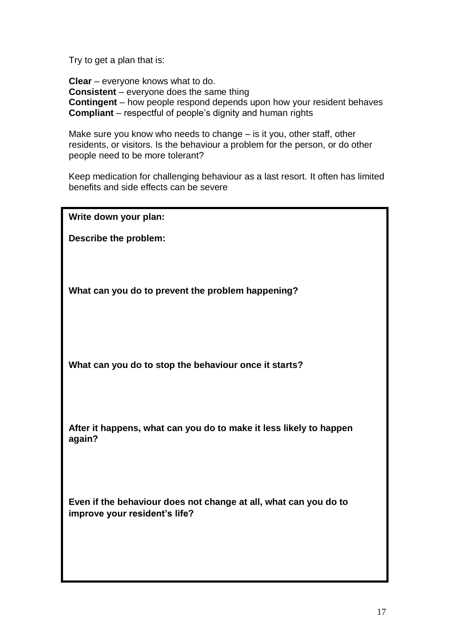Try to get a plan that is:

**Clear** – everyone knows what to do. **Consistent** – everyone does the same thing **Contingent** – how people respond depends upon how your resident behaves **Compliant** – respectful of people's dignity and human rights

Make sure you know who needs to change – is it you, other staff, other residents, or visitors. Is the behaviour a problem for the person, or do other people need to be more tolerant?

Keep medication for challenging behaviour as a last resort. It often has limited benefits and side effects can be severe

**Write down your plan:**

**Describe the problem:**

**What can you do to prevent the problem happening?**

**What can you do to stop the behaviour once it starts?**

**After it happens, what can you do to make it less likely to happen again?**

**Even if the behaviour does not change at all, what can you do to improve your resident's life?**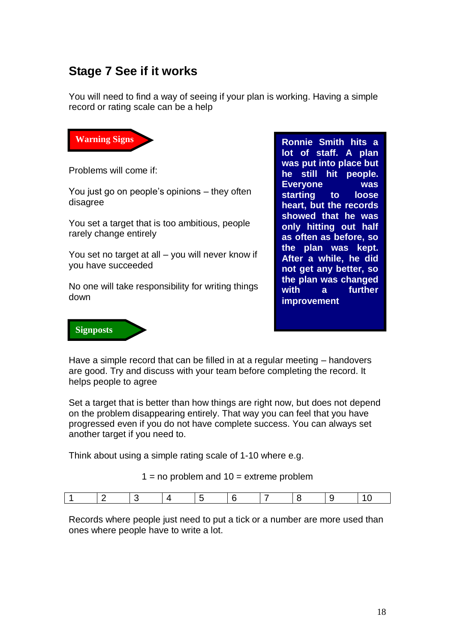# **Stage 7 See if it works**

You will need to find a way of seeing if your plan is working. Having a simple record or rating scale can be a help



Problems will come if:

You just go on people's opinions – they often disagree

You set a target that is too ambitious, people rarely change entirely

You set no target at all – you will never know if you have succeeded

No one will take responsibility for writing things down

**Ronnie Smith hits a lot of staff. A plan was put into place but he still hit people. Everyone was starting to loose heart, but the records showed that he was only hitting out half as often as before, so the plan was kept. After a while, he did not get any better, so the plan was changed with a further improvement** 



Have a simple record that can be filled in at a regular meeting – handovers are good. Try and discuss with your team before completing the record. It helps people to agree

Set a target that is better than how things are right now, but does not depend on the problem disappearing entirely. That way you can feel that you have progressed even if you do not have complete success. You can always set another target if you need to.

Think about using a simple rating scale of 1-10 where e.g.

Records where people just need to put a tick or a number are more used than ones where people have to write a lot.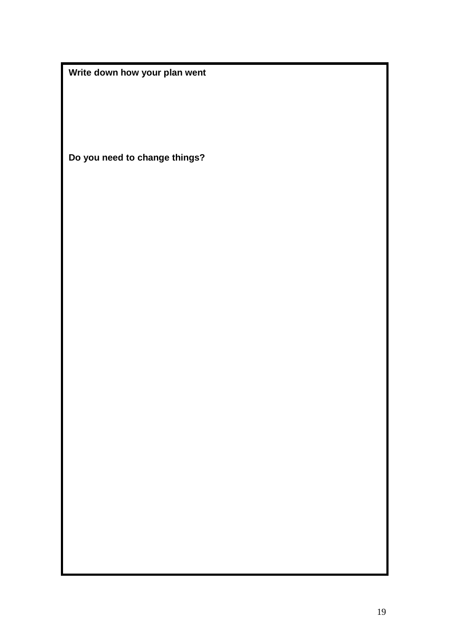**Write down how your plan went**

**Do you need to change things?**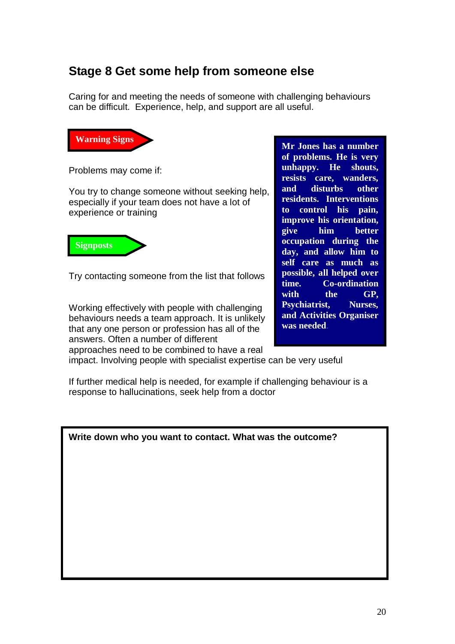## **Stage 8 Get some help from someone else**

Caring for and meeting the needs of someone with challenging behaviours can be difficult. Experience, help, and support are all useful.



Problems may come if:

You try to change someone without seeking help, especially if your team does not have a lot of experience or training



Try contacting someone from the list that follows

Working effectively with people with challenging behaviours needs a team approach. It is unlikely that any one person or profession has all of the answers. Often a number of different approaches need to be combined to have a real

**Mr Jones has a number of problems. He is very unhappy. He shouts, resists care, wanders, and disturbs other residents. Interventions to control his pain, improve his orientation, give him better occupation during the day, and allow him to self care as much as possible, all helped over time. Co-ordination with the GP, Psychiatrist, Nurses, and Activities Organiser was needed**.

impact. Involving people with specialist expertise can be very useful

If further medical help is needed, for example if challenging behaviour is a response to hallucinations, seek help from a doctor

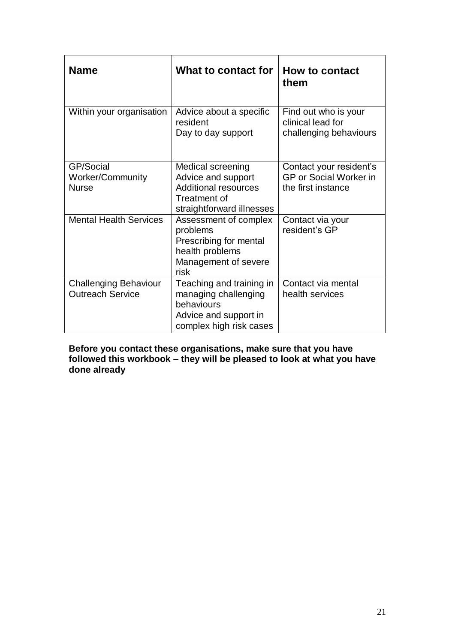| <b>Name</b>                                             | What to contact for                                                                                                 | <b>How to contact</b><br>them                                           |
|---------------------------------------------------------|---------------------------------------------------------------------------------------------------------------------|-------------------------------------------------------------------------|
| Within your organisation                                | Advice about a specific<br>resident<br>Day to day support                                                           | Find out who is your<br>clinical lead for<br>challenging behaviours     |
| GP/Social<br>Worker/Community<br><b>Nurse</b>           | Medical screening<br>Advice and support<br><b>Additional resources</b><br>Treatment of<br>straightforward illnesses | Contact your resident's<br>GP or Social Worker in<br>the first instance |
| <b>Mental Health Services</b>                           | Assessment of complex<br>problems<br>Prescribing for mental<br>health problems<br>Management of severe<br>risk      | Contact via your<br>resident's GP                                       |
| <b>Challenging Behaviour</b><br><b>Outreach Service</b> | Teaching and training in<br>managing challenging<br>behaviours<br>Advice and support in<br>complex high risk cases  | Contact via mental<br>health services                                   |

**Before you contact these organisations, make sure that you have followed this workbook – they will be pleased to look at what you have done already**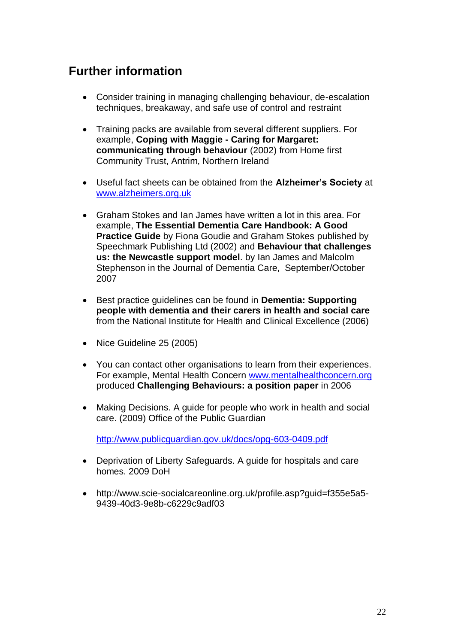# **Further information**

- Consider training in managing challenging behaviour, de-escalation techniques, breakaway, and safe use of control and restraint
- Training packs are available from several different suppliers. For example, **Coping with Maggie - Caring for Margaret: communicating through behaviour** (2002) from Home first Community Trust, Antrim, Northern Ireland
- Useful fact sheets can be obtained from the **Alzheimer's Society** at [www.alzheimers.org.uk](http://www.alzheimers.org.uk/)
- Graham Stokes and Ian James have written a lot in this area. For example, **The Essential Dementia Care Handbook: A Good Practice Guide** by Fiona Goudie and Graham Stokes published by Speechmark Publishing Ltd (2002) and **Behaviour that challenges us: the Newcastle support model**. by Ian James and Malcolm Stephenson in the Journal of Dementia Care, September/October 2007
- Best practice guidelines can be found in **Dementia: Supporting people with dementia and their carers in health and social care** from the National Institute for Health and Clinical Excellence (2006)
- Nice Guideline 25 (2005)
- You can contact other organisations to learn from their experiences. For example, Mental Health Concern [www.mentalhealthconcern.org](http://www.mentalhealthconcern.org/) produced **Challenging Behaviours: a position paper** in 2006
- Making Decisions. A guide for people who work in health and social care. (2009) Office of the Public Guardian

<http://www.publicguardian.gov.uk/docs/opg-603-0409.pdf>

- Deprivation of Liberty Safeguards. A guide for hospitals and care homes. 2009 DoH
- [http://www.scie-socialcareonline.org.uk/profile.asp?guid=f355e5a5-](http://www.scie-socialcareonline.org.uk/profile.asp?guid=f355e5a5-9439-40d3-9e8b-c6229c9adf03) [9439-40d3-9e8b-c6229c9adf03](http://www.scie-socialcareonline.org.uk/profile.asp?guid=f355e5a5-9439-40d3-9e8b-c6229c9adf03)